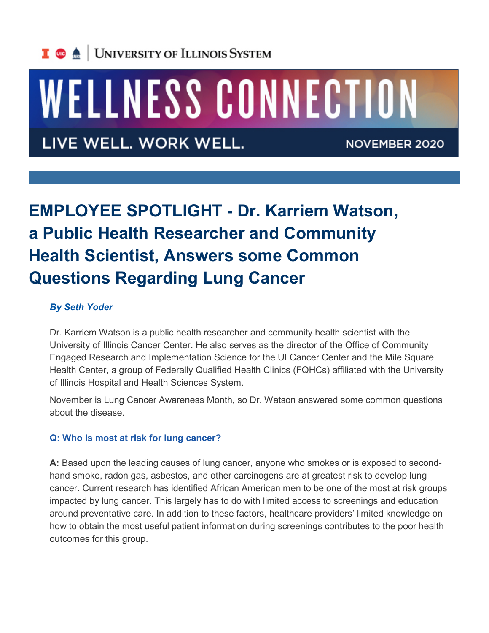

# WELLNESS CONNECTION

LIVE WELL. WORK WELL.

**NOVEMBER 2020** 

# **EMPLOYEE SPOTLIGHT - Dr. Karriem Watson, a Public Health Researcher and Community Health Scientist, Answers some Common Questions Regarding Lung Cancer**

#### *By Seth Yoder*

Dr. Karriem Watson is a public health researcher and community health scientist with the University of Illinois Cancer Center. He also serves as the director of the Office of Community Engaged Research and Implementation Science for the UI Cancer Center and the Mile Square Health Center, a group of Federally Qualified Health Clinics (FQHCs) affiliated with the University of Illinois Hospital and Health Sciences System.

November is Lung Cancer Awareness Month, so Dr. Watson answered some common questions about the disease.

## **Q: Who is most at risk for lung cancer?**

**A:** Based upon the leading causes of lung cancer, anyone who smokes or is exposed to secondhand smoke, radon gas, asbestos, and other carcinogens are at greatest risk to develop lung cancer. Current research has identified African American men to be one of the most at risk groups impacted by lung cancer. This largely has to do with limited access to screenings and education around preventative care. In addition to these factors, healthcare providers' limited knowledge on how to obtain the most useful patient information during screenings contributes to the poor health outcomes for this group.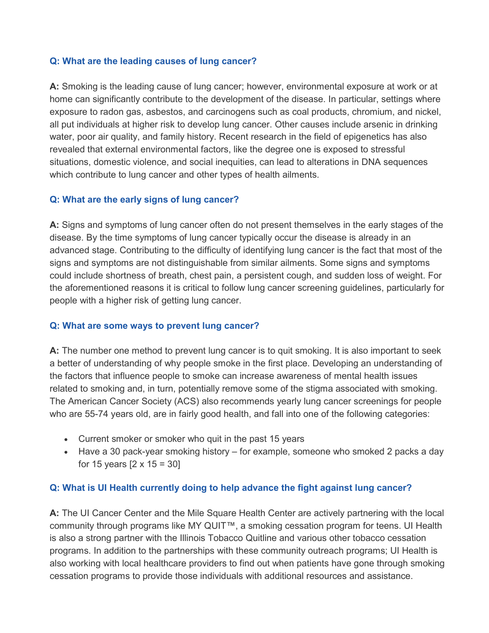#### **Q: What are the leading causes of lung cancer?**

**A:** Smoking is the leading cause of lung cancer; however, environmental exposure at work or at home can significantly contribute to the development of the disease. In particular, settings where exposure to radon gas, asbestos, and carcinogens such as coal products, chromium, and nickel, all put individuals at higher risk to develop lung cancer. Other causes include arsenic in drinking water, poor air quality, and family history. Recent research in the field of epigenetics has also revealed that external environmental factors, like the degree one is exposed to stressful situations, domestic violence, and social inequities, can lead to alterations in DNA sequences which contribute to lung cancer and other types of health ailments.

## **Q: What are the early signs of lung cancer?**

**A:** Signs and symptoms of lung cancer often do not present themselves in the early stages of the disease. By the time symptoms of lung cancer typically occur the disease is already in an advanced stage. Contributing to the difficulty of identifying lung cancer is the fact that most of the signs and symptoms are not distinguishable from similar ailments. Some signs and symptoms could include shortness of breath, chest pain, a persistent cough, and sudden loss of weight. For the aforementioned reasons it is critical to follow lung cancer screening guidelines, particularly for people with a higher risk of getting lung cancer.

#### **Q: What are some ways to prevent lung cancer?**

**A:** The number one method to prevent lung cancer is to quit smoking. It is also important to seek a better of understanding of why people smoke in the first place. Developing an understanding of the factors that influence people to smoke can increase awareness of mental health issues related to smoking and, in turn, potentially remove some of the stigma associated with smoking. The American Cancer Society (ACS) also recommends yearly lung cancer screenings for people who are 55-74 years old, are in fairly good health, and fall into one of the following categories:

- Current smoker or smoker who quit in the past 15 years
- Have a 30 pack-year smoking history for example, someone who smoked 2 packs a day for 15 years [2 x 15 = 30]

#### **Q: What is UI Health currently doing to help advance the fight against lung cancer?**

**A:** The UI Cancer Center and the Mile Square Health Center are actively partnering with the local community through programs like MY QUIT™, a smoking cessation program for teens. UI Health is also a strong partner with the Illinois Tobacco Quitline and various other tobacco cessation programs. In addition to the partnerships with these community outreach programs; UI Health is also working with local healthcare providers to find out when patients have gone through smoking cessation programs to provide those individuals with additional resources and assistance.